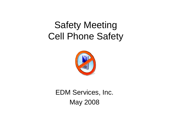# Safety Meeting Cell Phone Safety



EDM Services, Inc. May 2008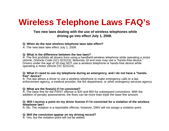### **Wireless Telephone Laws FAQ's**

### **Two new laws dealing with the use of wireless telephones while driving go into effect July 1, 2008.**

#### **Q: When do the new wireless telephone laws take effect?**

A: The new laws take effect July 1, 2008.

#### **Q: What is the difference between the two laws?**

A: The first prohibits all drivers from using a handheld wireless telephone while operating a motor vehicle, (Vehicle Code (VC) §23123). Motorists 18 and over may use a "hands-free device." Drivers under the age of 18 may NOT use a wireless telephone or hands-free device while operating a motor vehicle (VC §23124).

#### **Q: What if I need to use my telephone during an emergency, and I do not have a "handsfree" device?**

A: The law allows a driver to use a wireless telephone to make emergency calls to a law enforcement agency, a medical provider, the fire department, or other emergency services agency

#### **Q: What are the fines(s) if I'm convicted?**

A: The base fine for the FIRST offense is \$20 and \$50 for subsequent convictions. With the addition of penalty assessments, the fines can be more than triple the base fine amount.

#### **Q: Will I receive a point on my driver license if I'm convicted for a violation of the wireless telephone law?**

A: No. The violation is a reportable offense, however, DMV will not assign a violation point.

#### **Q: Will the conviction appear on my driving record?**

A: Yes, but the violation point will not be added.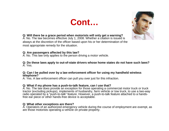



**Q: Will there be a grace period when motorists will only get a warning?**

A: No. The law becomes effective July 1, 2008. Whether a citation is issued is always at the discretion of the officer based upon his or her determination of the most appropriate remedy for the situation.

#### **Q: Are passengers affected by this law?**

A: No. This law only applies to the person driving a motor vehicle.

**Q: Do these laws apply to out-of-state drivers whose home states do not have such laws?** A: Yes.

#### **Q: Can I be pulled over by a law enforcement officer for using my handheld wireless telephone?**

A: Yes. A law enforcement officer can pull you over just for this infraction.

#### **Q: What if my phone has a push-to-talk feature, can I use that?**

A: No. The law does provide an exception for those operating a commercial motor truck or truck tractor (excluding pickups), implements of husbandry, farm vehicle or tow truck, to use a two-way radio operated by a "push-to-talk" feature. However, a push-to-talk feature attached to a handsfree ear piece or other hands-free device is acceptable.

#### **Q: What other exceptions are there?**

A: Operators of an authorized emergency vehicle during the course of employment are exempt, as are those motorists operating a vehicle on private property.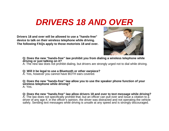## *DRIVERS 18 AND OVER*

**Drivers 18 and over will be allowed to use a "hands-free" device to talk on their wireless telephone while driving. The following FAQs apply to those motorists 18 and over.**



**Q: Does the new "hands-free" law prohibit you from dialing a wireless telephone while driving or just talking on it?**

A: The new law does not prohibit dialing, but drivers are strongly urged not to dial while driving.

**Q: Will it be legal to use a Bluetooth or other earpiece?**

A: Yes, however you cannot have BOTH ears covered.

**Q: Does the new "hands-free" law allow you to use the speaker phone function of your wireless telephone while driving?**  A: Yes.

**Q: Does the new "hands-free" law allow drivers 18 and over to text message while driving?** A: The law does not specifically prohibit that, but an officer can pull over and issue a citation to a driver of any age if, in the officer's opinion, the driver was distracted and not operating the vehicle safely. Sending text messages while driving is unsafe at any speed and is strongly discouraged.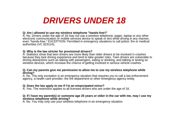### *DRIVERS UNDER 18*

#### **Q: Am I allowed to use my wireless telephone "hands-free?**"

A: No. Drivers under the age of 18 may not use a wireless telephone, pager, laptop or any other electronic communication or mobile services device to speak or text while driving in any manner, even "hands-free." EXCEPTION: Permitted in emergency situations to call police, fire or medical authorities (VC §23124).

#### **Q: Why is the law stricter for provisional drivers?**

A: Statistics show that teen drivers are more likely than older drivers to be involved in crashes because they lack driving experience and tend to take greater risks. Teen drivers are vulnerable to driving distractions such as talking with passengers, eating or drinking, and talking or texting on wireless devices, which increase the chance of getting involved in serious vehicle crashes.

#### **Q: Can my parents give me permission to allow me to use my wireless telephone while driving?**

A: No. The only exception is an emergency situation that requires you to call a law enforcement agency, a health care provider, the fire department or other emergency agency entity.

#### **Q: Does the law apply to me if I'm an emancipated minor?**

A: Yes. The restriction applies to all licensed drivers who are under the age of 18.

#### **Q: If I have my parent(s) or someone age 25 years or older in the car with me, may I use my wireless telephone while driving?**

A: No. You may only use your wireless telephone in an emergency situation.